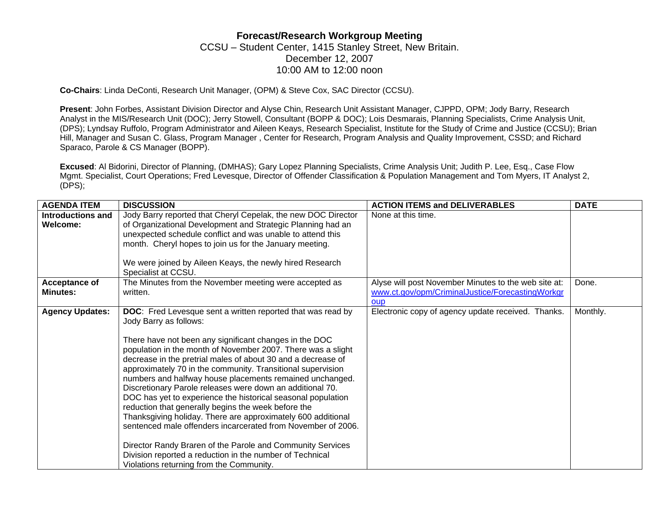## **Forecast/Research Workgroup Meeting**  CCSU – Student Center, 1415 Stanley Street, New Britain. December 12, 2007 10:00 AM to 12:00 noon

**Co-Chairs**: Linda DeConti, Research Unit Manager, (OPM) & Steve Cox, SAC Director (CCSU).

**Present**: John Forbes, Assistant Division Director and Alyse Chin, Research Unit Assistant Manager, CJPPD, OPM; Jody Barry, Research Analyst in the MIS/Research Unit (DOC); Jerry Stowell, Consultant (BOPP & DOC); Lois Desmarais, Planning Specialists, Crime Analysis Unit, (DPS); Lyndsay Ruffolo, Program Administrator and Aileen Keays, Research Specialist, Institute for the Study of Crime and Justice (CCSU); Brian Hill, Manager and Susan C. Glass, Program Manager , Center for Research, Program Analysis and Quality Improvement, CSSD; and Richard Sparaco, Parole & CS Manager (BOPP).

**Excused**: Al Bidorini, Director of Planning, (DMHAS); Gary Lopez Planning Specialists, Crime Analysis Unit; Judith P. Lee, Esq., Case Flow Mgmt. Specialist, Court Operations; Fred Levesque, Director of Offender Classification & Population Management and Tom Myers, IT Analyst 2, (DPS);

| <b>AGENDA ITEM</b>               | <b>DISCUSSION</b>                                                                                                                                                                                                                                                                                                                                                                                                                                                                                                                                                                                                                                                                                                                                                                                                                                                                                           | <b>ACTION ITEMS and DELIVERABLES</b>                                                                            | <b>DATE</b> |
|----------------------------------|-------------------------------------------------------------------------------------------------------------------------------------------------------------------------------------------------------------------------------------------------------------------------------------------------------------------------------------------------------------------------------------------------------------------------------------------------------------------------------------------------------------------------------------------------------------------------------------------------------------------------------------------------------------------------------------------------------------------------------------------------------------------------------------------------------------------------------------------------------------------------------------------------------------|-----------------------------------------------------------------------------------------------------------------|-------------|
| Introductions and<br>Welcome:    | Jody Barry reported that Cheryl Cepelak, the new DOC Director<br>of Organizational Development and Strategic Planning had an<br>unexpected schedule conflict and was unable to attend this<br>month. Cheryl hopes to join us for the January meeting.<br>We were joined by Aileen Keays, the newly hired Research<br>Specialist at CCSU.                                                                                                                                                                                                                                                                                                                                                                                                                                                                                                                                                                    | None at this time.                                                                                              |             |
| Acceptance of<br><b>Minutes:</b> | The Minutes from the November meeting were accepted as<br>written.                                                                                                                                                                                                                                                                                                                                                                                                                                                                                                                                                                                                                                                                                                                                                                                                                                          | Alyse will post November Minutes to the web site at:<br>www.ct.gov/opm/CriminalJustice/ForecastingWorkgr<br>oup | Done.       |
| <b>Agency Updates:</b>           | <b>DOC:</b> Fred Levesque sent a written reported that was read by<br>Jody Barry as follows:<br>There have not been any significant changes in the DOC<br>population in the month of November 2007. There was a slight<br>decrease in the pretrial males of about 30 and a decrease of<br>approximately 70 in the community. Transitional supervision<br>numbers and halfway house placements remained unchanged.<br>Discretionary Parole releases were down an additional 70.<br>DOC has yet to experience the historical seasonal population<br>reduction that generally begins the week before the<br>Thanksgiving holiday. There are approximately 600 additional<br>sentenced male offenders incarcerated from November of 2006.<br>Director Randy Braren of the Parole and Community Services<br>Division reported a reduction in the number of Technical<br>Violations returning from the Community. | Electronic copy of agency update received. Thanks.                                                              | Monthly.    |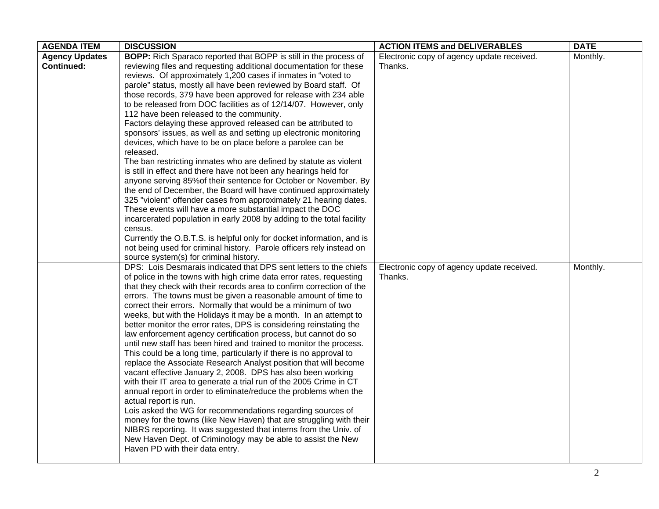| <b>AGENDA ITEM</b>    | <b>DISCUSSION</b>                                                                                                                    | <b>ACTION ITEMS and DELIVERABLES</b>       | <b>DATE</b> |
|-----------------------|--------------------------------------------------------------------------------------------------------------------------------------|--------------------------------------------|-------------|
| <b>Agency Updates</b> | <b>BOPP:</b> Rich Sparaco reported that BOPP is still in the process of                                                              | Electronic copy of agency update received. | Monthly.    |
| <b>Continued:</b>     | reviewing files and requesting additional documentation for these                                                                    | Thanks.                                    |             |
|                       | reviews. Of approximately 1,200 cases if inmates in "voted to                                                                        |                                            |             |
|                       | parole" status, mostly all have been reviewed by Board staff. Of                                                                     |                                            |             |
|                       | those records, 379 have been approved for release with 234 able                                                                      |                                            |             |
|                       | to be released from DOC facilities as of 12/14/07. However, only                                                                     |                                            |             |
|                       | 112 have been released to the community.                                                                                             |                                            |             |
|                       | Factors delaying these approved released can be attributed to                                                                        |                                            |             |
|                       | sponsors' issues, as well as and setting up electronic monitoring                                                                    |                                            |             |
|                       | devices, which have to be on place before a parolee can be                                                                           |                                            |             |
|                       | released.                                                                                                                            |                                            |             |
|                       | The ban restricting inmates who are defined by statute as violent                                                                    |                                            |             |
|                       | is still in effect and there have not been any hearings held for<br>anyone serving 85% of their sentence for October or November. By |                                            |             |
|                       | the end of December, the Board will have continued approximately                                                                     |                                            |             |
|                       | 325 "violent" offender cases from approximately 21 hearing dates.                                                                    |                                            |             |
|                       | These events will have a more substantial impact the DOC                                                                             |                                            |             |
|                       | incarcerated population in early 2008 by adding to the total facility                                                                |                                            |             |
|                       | census.                                                                                                                              |                                            |             |
|                       | Currently the O.B.T.S. is helpful only for docket information, and is                                                                |                                            |             |
|                       | not being used for criminal history. Parole officers rely instead on                                                                 |                                            |             |
|                       | source system(s) for criminal history.                                                                                               |                                            |             |
|                       | DPS: Lois Desmarais indicated that DPS sent letters to the chiefs                                                                    | Electronic copy of agency update received. | Monthly.    |
|                       | of police in the towns with high crime data error rates, requesting                                                                  | Thanks.                                    |             |
|                       | that they check with their records area to confirm correction of the                                                                 |                                            |             |
|                       | errors. The towns must be given a reasonable amount of time to                                                                       |                                            |             |
|                       | correct their errors. Normally that would be a minimum of two                                                                        |                                            |             |
|                       | weeks, but with the Holidays it may be a month. In an attempt to                                                                     |                                            |             |
|                       | better monitor the error rates, DPS is considering reinstating the                                                                   |                                            |             |
|                       | law enforcement agency certification process, but cannot do so                                                                       |                                            |             |
|                       | until new staff has been hired and trained to monitor the process.                                                                   |                                            |             |
|                       | This could be a long time, particularly if there is no approval to                                                                   |                                            |             |
|                       | replace the Associate Research Analyst position that will become                                                                     |                                            |             |
|                       | vacant effective January 2, 2008. DPS has also been working                                                                          |                                            |             |
|                       | with their IT area to generate a trial run of the 2005 Crime in CT                                                                   |                                            |             |
|                       | annual report in order to eliminate/reduce the problems when the                                                                     |                                            |             |
|                       | actual report is run.                                                                                                                |                                            |             |
|                       | Lois asked the WG for recommendations regarding sources of                                                                           |                                            |             |
|                       | money for the towns (like New Haven) that are struggling with their                                                                  |                                            |             |
|                       | NIBRS reporting. It was suggested that interns from the Univ. of                                                                     |                                            |             |
|                       | New Haven Dept. of Criminology may be able to assist the New                                                                         |                                            |             |
|                       | Haven PD with their data entry.                                                                                                      |                                            |             |
|                       |                                                                                                                                      |                                            |             |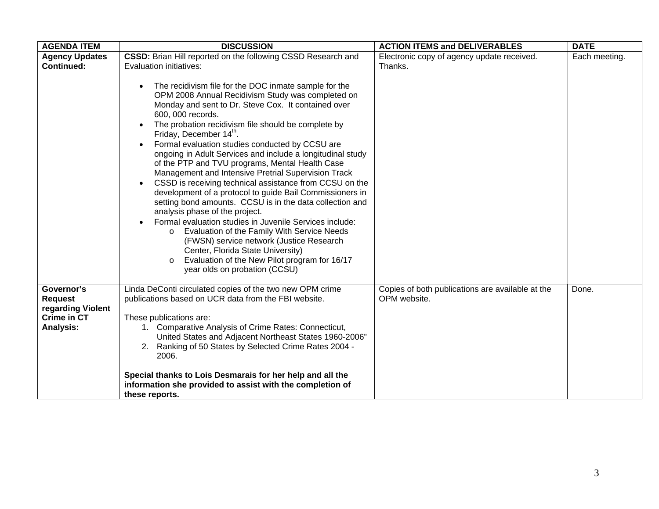| <b>AGENDA ITEM</b>                                                                          | <b>DISCUSSION</b>                                                                                                                                                                                                                                                                                                                                                                                                                                                                                                                                                                                                                                                                                                                                                                                                                                                                                                                                                                                                                                                                            | <b>ACTION ITEMS and DELIVERABLES</b>                             | <b>DATE</b>   |
|---------------------------------------------------------------------------------------------|----------------------------------------------------------------------------------------------------------------------------------------------------------------------------------------------------------------------------------------------------------------------------------------------------------------------------------------------------------------------------------------------------------------------------------------------------------------------------------------------------------------------------------------------------------------------------------------------------------------------------------------------------------------------------------------------------------------------------------------------------------------------------------------------------------------------------------------------------------------------------------------------------------------------------------------------------------------------------------------------------------------------------------------------------------------------------------------------|------------------------------------------------------------------|---------------|
| <b>Agency Updates</b>                                                                       | CSSD: Brian Hill reported on the following CSSD Research and                                                                                                                                                                                                                                                                                                                                                                                                                                                                                                                                                                                                                                                                                                                                                                                                                                                                                                                                                                                                                                 | Electronic copy of agency update received.                       | Each meeting. |
| <b>Continued:</b>                                                                           | Evaluation initiatives:<br>The recidivism file for the DOC inmate sample for the<br>OPM 2008 Annual Recidivism Study was completed on<br>Monday and sent to Dr. Steve Cox. It contained over<br>600, 000 records.<br>The probation recidivism file should be complete by<br>$\bullet$<br>Friday, December 14 <sup>th</sup> .<br>Formal evaluation studies conducted by CCSU are<br>$\bullet$<br>ongoing in Adult Services and include a longitudinal study<br>of the PTP and TVU programs, Mental Health Case<br>Management and Intensive Pretrial Supervision Track<br>CSSD is receiving technical assistance from CCSU on the<br>development of a protocol to guide Bail Commissioners in<br>setting bond amounts. CCSU is in the data collection and<br>analysis phase of the project.<br>Formal evaluation studies in Juvenile Services include:<br>Evaluation of the Family With Service Needs<br>$\circ$<br>(FWSN) service network (Justice Research<br>Center, Florida State University)<br>Evaluation of the New Pilot program for 16/17<br>$\circ$<br>year olds on probation (CCSU) | Thanks.                                                          |               |
| Governor's<br><b>Request</b><br>regarding Violent<br><b>Crime in CT</b><br><b>Analysis:</b> | Linda DeConti circulated copies of the two new OPM crime<br>publications based on UCR data from the FBI website.<br>These publications are:<br>1. Comparative Analysis of Crime Rates: Connecticut,<br>United States and Adjacent Northeast States 1960-2006"<br>2. Ranking of 50 States by Selected Crime Rates 2004 -<br>2006.                                                                                                                                                                                                                                                                                                                                                                                                                                                                                                                                                                                                                                                                                                                                                             | Copies of both publications are available at the<br>OPM website. | Done.         |
|                                                                                             | Special thanks to Lois Desmarais for her help and all the<br>information she provided to assist with the completion of<br>these reports.                                                                                                                                                                                                                                                                                                                                                                                                                                                                                                                                                                                                                                                                                                                                                                                                                                                                                                                                                     |                                                                  |               |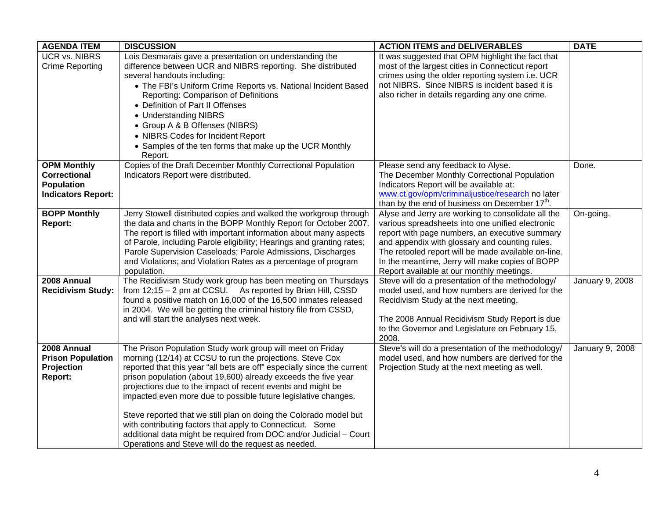| <b>AGENDA ITEM</b>        | <b>DISCUSSION</b>                                                                                          | <b>ACTION ITEMS and DELIVERABLES</b>                       | <b>DATE</b>     |
|---------------------------|------------------------------------------------------------------------------------------------------------|------------------------------------------------------------|-----------------|
| <b>UCR vs. NIBRS</b>      | Lois Desmarais gave a presentation on understanding the                                                    | It was suggested that OPM highlight the fact that          |                 |
| <b>Crime Reporting</b>    | difference between UCR and NIBRS reporting. She distributed                                                | most of the largest cities in Connecticut report           |                 |
|                           | several handouts including:                                                                                | crimes using the older reporting system i.e. UCR           |                 |
|                           | • The FBI's Uniform Crime Reports vs. National Incident Based                                              | not NIBRS. Since NIBRS is incident based it is             |                 |
|                           | Reporting: Comparison of Definitions                                                                       | also richer in details regarding any one crime.            |                 |
|                           | • Definition of Part II Offenses                                                                           |                                                            |                 |
|                           | • Understanding NIBRS                                                                                      |                                                            |                 |
|                           | • Group A & B Offenses (NIBRS)                                                                             |                                                            |                 |
|                           | • NIBRS Codes for Incident Report                                                                          |                                                            |                 |
|                           | • Samples of the ten forms that make up the UCR Monthly<br>Report.                                         |                                                            |                 |
| <b>OPM Monthly</b>        | Copies of the Draft December Monthly Correctional Population                                               | Please send any feedback to Alyse.                         | Done.           |
| <b>Correctional</b>       | Indicators Report were distributed.                                                                        | The December Monthly Correctional Population               |                 |
| <b>Population</b>         |                                                                                                            | Indicators Report will be available at:                    |                 |
| <b>Indicators Report:</b> |                                                                                                            | www.ct.gov/opm/criminaljustice/research no later           |                 |
|                           |                                                                                                            | than by the end of business on December 17 <sup>th</sup> . |                 |
| <b>BOPP Monthly</b>       | Jerry Stowell distributed copies and walked the workgroup through                                          | Alyse and Jerry are working to consolidate all the         | On-going.       |
| <b>Report:</b>            | the data and charts in the BOPP Monthly Report for October 2007.                                           | various spreadsheets into one unified electronic           |                 |
|                           | The report is filled with important information about many aspects                                         | report with page numbers, an executive summary             |                 |
|                           | of Parole, including Parole eligibility; Hearings and granting rates;                                      | and appendix with glossary and counting rules.             |                 |
|                           | Parole Supervision Caseloads; Parole Admissions, Discharges                                                | The retooled report will be made available on-line.        |                 |
|                           | and Violations; and Violation Rates as a percentage of program                                             | In the meantime, Jerry will make copies of BOPP            |                 |
|                           | population.                                                                                                | Report available at our monthly meetings.                  |                 |
| 2008 Annual               | The Recidivism Study work group has been meeting on Thursdays                                              | Steve will do a presentation of the methodology/           | January 9, 2008 |
| <b>Recidivism Study:</b>  | from 12:15 - 2 pm at CCSU. As reported by Brian Hill, CSSD                                                 | model used, and how numbers are derived for the            |                 |
|                           | found a positive match on 16,000 of the 16,500 inmates released                                            | Recidivism Study at the next meeting.                      |                 |
|                           | in 2004. We will be getting the criminal history file from CSSD,<br>and will start the analyses next week. | The 2008 Annual Recidivism Study Report is due             |                 |
|                           |                                                                                                            | to the Governor and Legislature on February 15,            |                 |
|                           |                                                                                                            | 2008.                                                      |                 |
| 2008 Annual               | The Prison Population Study work group will meet on Friday                                                 | Steve's will do a presentation of the methodology/         | January 9, 2008 |
| <b>Prison Population</b>  | morning (12/14) at CCSU to run the projections. Steve Cox                                                  | model used, and how numbers are derived for the            |                 |
| Projection                | reported that this year "all bets are off" especially since the current                                    | Projection Study at the next meeting as well.              |                 |
| Report:                   | prison population (about 19,600) already exceeds the five year                                             |                                                            |                 |
|                           | projections due to the impact of recent events and might be                                                |                                                            |                 |
|                           | impacted even more due to possible future legislative changes.                                             |                                                            |                 |
|                           |                                                                                                            |                                                            |                 |
|                           | Steve reported that we still plan on doing the Colorado model but                                          |                                                            |                 |
|                           | with contributing factors that apply to Connecticut. Some                                                  |                                                            |                 |
|                           | additional data might be required from DOC and/or Judicial - Court                                         |                                                            |                 |
|                           | Operations and Steve will do the request as needed.                                                        |                                                            |                 |